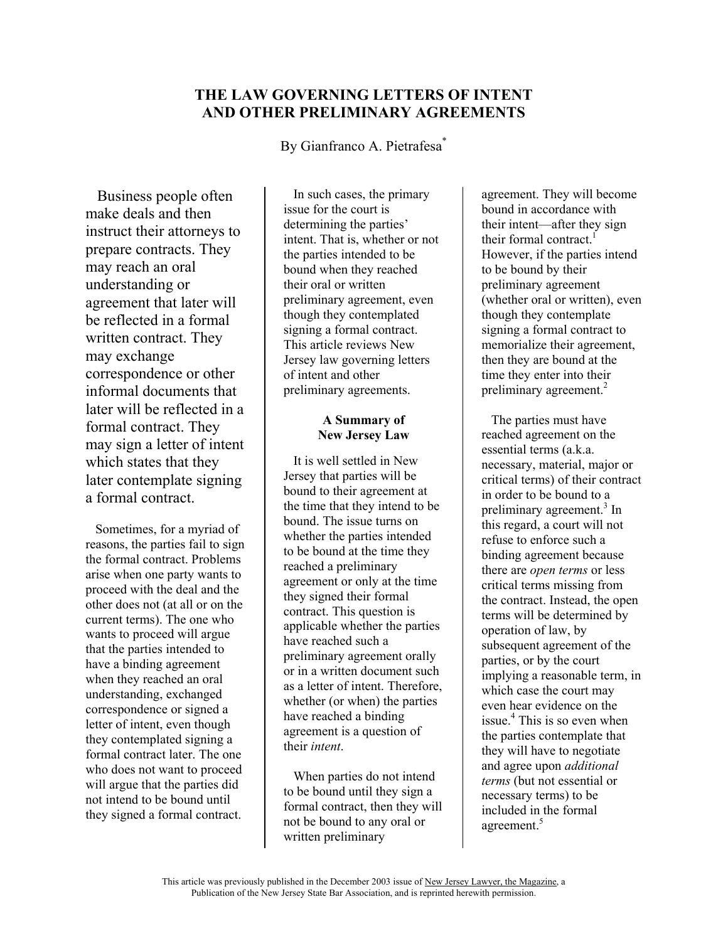# **THE LAW GOVERNING LETTERS OF INTENT AND OTHER PRELIMINARY AGREEMENTS**

By Gianfranco A. Pietrafesa<sup>\*</sup>

 Business people often make deals and then instruct their attorneys to prepare contracts. They may reach an oral understanding or agreement that later will be reflected in a formal written contract. They may exchange correspondence or other informal documents that later will be reflected in a formal contract. They may sign a letter of intent which states that they later contemplate signing a formal contract.

 Sometimes, for a myriad of reasons, the parties fail to sign the formal contract. Problems arise when one party wants to proceed with the deal and the other does not (at all or on the current terms). The one who wants to proceed will argue that the parties intended to have a binding agreement when they reached an oral understanding, exchanged correspondence or signed a letter of intent, even though they contemplated signing a formal contract later. The one who does not want to proceed will argue that the parties did not intend to be bound until they signed a formal contract.

 In such cases, the primary issue for the court is determining the parties' intent. That is, whether or not the parties intended to be bound when they reached their oral or written preliminary agreement, even though they contemplated signing a formal contract. This article reviews New Jersey law governing letters of intent and other preliminary agreements.

## **A Summary of New Jersey Law**

 It is well settled in New Jersey that parties will be bound to their agreement at the time that they intend to be bound. The issue turns on whether the parties intended to be bound at the time they reached a preliminary agreement or only at the time they signed their formal contract. This question is applicable whether the parties have reached such a preliminary agreement orally or in a written document such as a letter of intent. Therefore, whether (or when) the parties have reached a binding agreement is a question of their *intent*.

 When parties do not intend to be bound until they sign a formal contract, then they will not be bound to any oral or written preliminary

agreement. They will become bound in accordance with their intent—after they sign their formal contract.<sup>1</sup> However, if the parties intend to be bound by their preliminary agreement (whether oral or written), even though they contemplate signing a formal contract to memorialize their agreement, then they are bound at the time they enter into their preliminary agreement.<sup>2</sup>

 The parties must have reached agreement on the essential terms (a.k.a. necessary, material, major or critical terms) of their contract in order to be bound to a preliminary agreement.<sup>3</sup> In this regard, a court will not refuse to enforce such a binding agreement because there are *open terms* or less critical terms missing from the contract. Instead, the open terms will be determined by operation of law, by subsequent agreement of the parties, or by the court implying a reasonable term, in which case the court may even hear evidence on the issue.<sup>4</sup> This is so even when the parties contemplate that they will have to negotiate and agree upon *additional terms* (but not essential or necessary terms) to be included in the formal agreement.<sup>5</sup>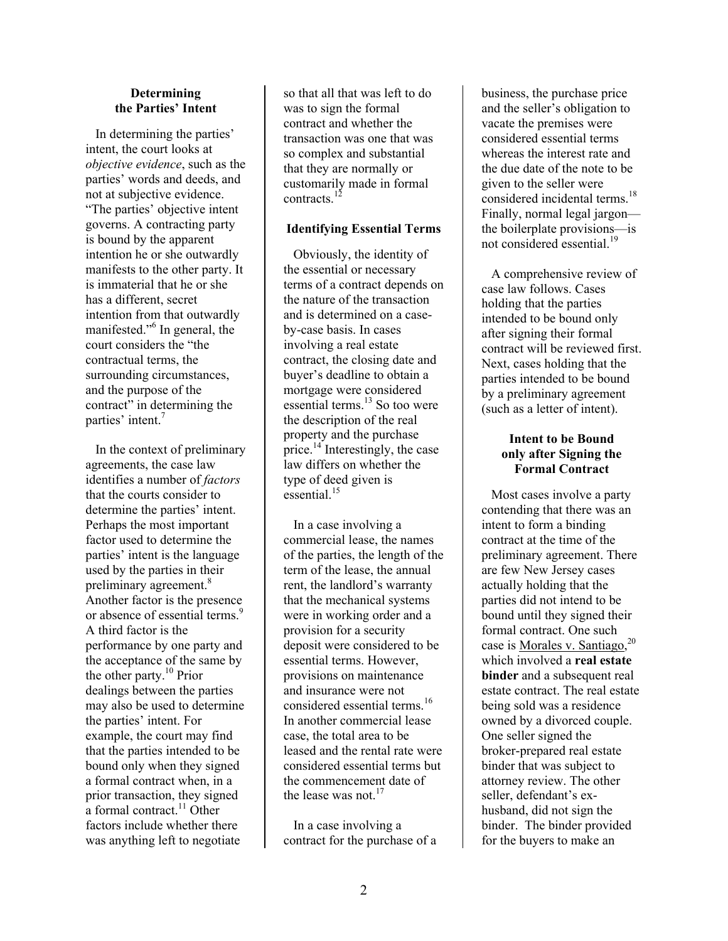#### **Determining the Parties' Intent**

 In determining the parties' intent, the court looks at *objective evidence*, such as the parties' words and deeds, and not at subjective evidence. "The parties' objective intent governs. A contracting party is bound by the apparent intention he or she outwardly manifests to the other party. It is immaterial that he or she has a different, secret intention from that outwardly manifested."<sup>6</sup> In general, the court considers the "the contractual terms, the surrounding circumstances, and the purpose of the contract" in determining the parties' intent.<sup>7</sup>

 In the context of preliminary agreements, the case law identifies a number of *factors* that the courts consider to determine the parties' intent. Perhaps the most important factor used to determine the parties' intent is the language used by the parties in their preliminary agreement.<sup>8</sup> Another factor is the presence or absence of essential terms.<sup>9</sup> A third factor is the performance by one party and the acceptance of the same by the other party.<sup>10</sup> Prior dealings between the parties may also be used to determine the parties' intent. For example, the court may find that the parties intended to be bound only when they signed a formal contract when, in a prior transaction, they signed a formal contract.<sup>11</sup> Other factors include whether there was anything left to negotiate

so that all that was left to do was to sign the formal contract and whether the transaction was one that was so complex and substantial that they are normally or customarily made in formal contracts.<sup>12</sup>

## **Identifying Essential Terms**

 Obviously, the identity of the essential or necessary terms of a contract depends on the nature of the transaction and is determined on a caseby-case basis. In cases involving a real estate contract, the closing date and buyer's deadline to obtain a mortgage were considered essential terms.<sup>13</sup> So too were the description of the real property and the purchase price.<sup>14</sup> Interestingly, the case law differs on whether the type of deed given is  $\epsilon$ ssential<sup>15</sup>

 In a case involving a commercial lease, the names of the parties, the length of the term of the lease, the annual rent, the landlord's warranty that the mechanical systems were in working order and a provision for a security deposit were considered to be essential terms. However, provisions on maintenance and insurance were not considered essential terms.<sup>16</sup> In another commercial lease case, the total area to be leased and the rental rate were considered essential terms but the commencement date of the lease was not.<sup>17</sup>

 In a case involving a contract for the purchase of a

business, the purchase price and the seller's obligation to vacate the premises were considered essential terms whereas the interest rate and the due date of the note to be given to the seller were considered incidental terms.<sup>18</sup> Finally, normal legal jargon the boilerplate provisions—is not considered essential.<sup>19</sup>

 A comprehensive review of case law follows. Cases holding that the parties intended to be bound only after signing their formal contract will be reviewed first. Next, cases holding that the parties intended to be bound by a preliminary agreement (such as a letter of intent).

### **Intent to be Bound only after Signing the Formal Contract**

 Most cases involve a party contending that there was an intent to form a binding contract at the time of the preliminary agreement. There are few New Jersey cases actually holding that the parties did not intend to be bound until they signed their formal contract. One such case is Morales v. Santiago,<sup>20</sup> which involved a **real estate binder** and a subsequent real estate contract. The real estate being sold was a residence owned by a divorced couple. One seller signed the broker-prepared real estate binder that was subject to attorney review. The other seller, defendant's exhusband, did not sign the binder. The binder provided for the buyers to make an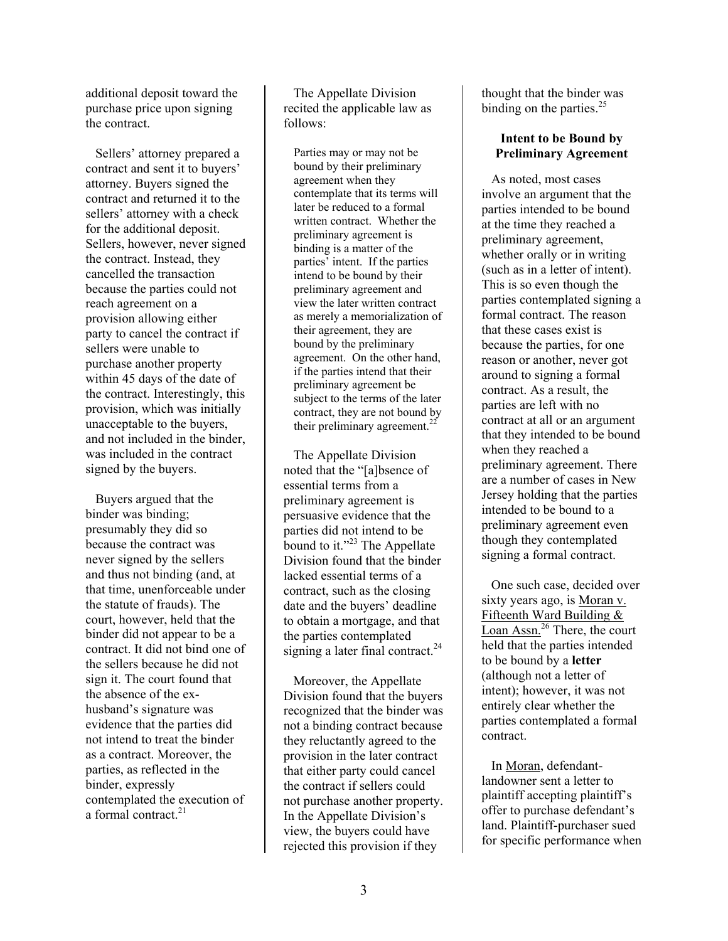additional deposit toward the purchase price upon signing the contract.

 Sellers' attorney prepared a contract and sent it to buyers' attorney. Buyers signed the contract and returned it to the sellers' attorney with a check for the additional deposit. Sellers, however, never signed the contract. Instead, they cancelled the transaction because the parties could not reach agreement on a provision allowing either party to cancel the contract if sellers were unable to purchase another property within 45 days of the date of the contract. Interestingly, this provision, which was initially unacceptable to the buyers, and not included in the binder, was included in the contract signed by the buyers.

 Buyers argued that the binder was binding; presumably they did so because the contract was never signed by the sellers and thus not binding (and, at that time, unenforceable under the statute of frauds). The court, however, held that the binder did not appear to be a contract. It did not bind one of the sellers because he did not sign it. The court found that the absence of the exhusband's signature was evidence that the parties did not intend to treat the binder as a contract. Moreover, the parties, as reflected in the binder, expressly contemplated the execution of a formal contract.<sup>21</sup>

 The Appellate Division recited the applicable law as follows:

Parties may or may not be bound by their preliminary agreement when they contemplate that its terms will later be reduced to a formal written contract. Whether the preliminary agreement is binding is a matter of the parties' intent. If the parties intend to be bound by their preliminary agreement and view the later written contract as merely a memorialization of their agreement, they are bound by the preliminary agreement. On the other hand, if the parties intend that their preliminary agreement be subject to the terms of the later contract, they are not bound by their preliminary agreement.<sup>22</sup>

 The Appellate Division noted that the "[a]bsence of essential terms from a preliminary agreement is persuasive evidence that the parties did not intend to be bound to it." $^{23}$  The Appellate Division found that the binder lacked essential terms of a contract, such as the closing date and the buyers' deadline to obtain a mortgage, and that the parties contemplated signing a later final contract.<sup>24</sup>

 Moreover, the Appellate Division found that the buyers recognized that the binder was not a binding contract because they reluctantly agreed to the provision in the later contract that either party could cancel the contract if sellers could not purchase another property. In the Appellate Division's view, the buyers could have rejected this provision if they

thought that the binder was binding on the parties. $25$ 

#### **Intent to be Bound by Preliminary Agreement**

 As noted, most cases involve an argument that the parties intended to be bound at the time they reached a preliminary agreement, whether orally or in writing (such as in a letter of intent). This is so even though the parties contemplated signing a formal contract. The reason that these cases exist is because the parties, for one reason or another, never got around to signing a formal contract. As a result, the parties are left with no contract at all or an argument that they intended to be bound when they reached a preliminary agreement. There are a number of cases in New Jersey holding that the parties intended to be bound to a preliminary agreement even though they contemplated signing a formal contract.

 One such case, decided over sixty years ago, is Moran v. Fifteenth Ward Building & Loan Assn.<sup>26</sup> There, the court held that the parties intended to be bound by a **letter** (although not a letter of intent); however, it was not entirely clear whether the parties contemplated a formal contract.

 In Moran, defendantlandowner sent a letter to plaintiff accepting plaintiff's offer to purchase defendant's land. Plaintiff-purchaser sued for specific performance when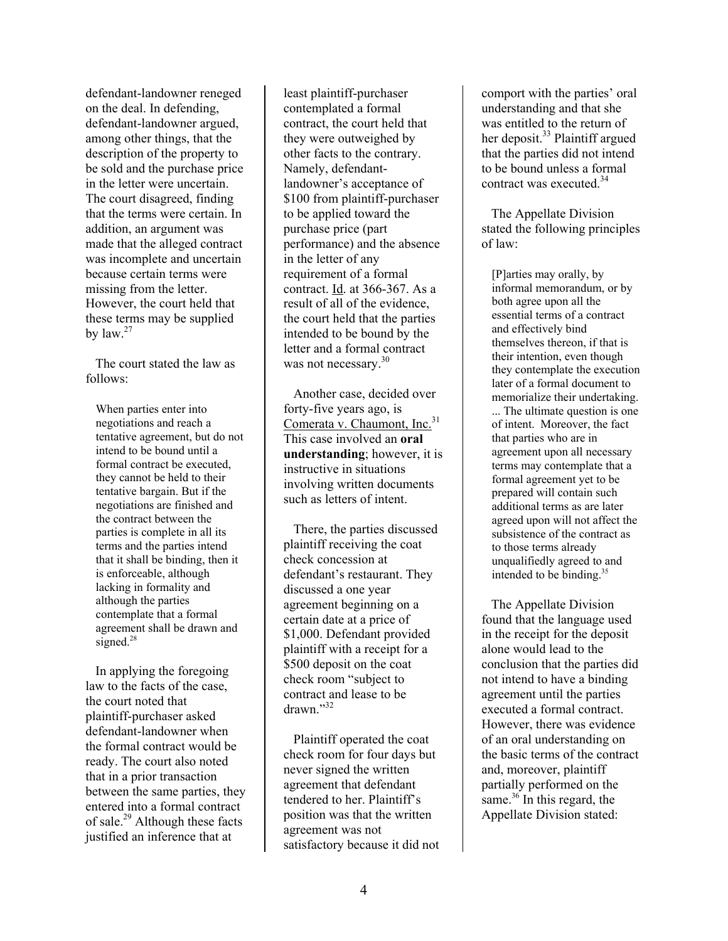defendant-landowner reneged on the deal. In defending, defendant-landowner argued, among other things, that the description of the property to be sold and the purchase price in the letter were uncertain. The court disagreed, finding that the terms were certain. In addition, an argument was made that the alleged contract was incomplete and uncertain because certain terms were missing from the letter. However, the court held that these terms may be supplied by  $\left| \mathrm{aw} \right|^{27}$ 

 The court stated the law as follows:

When parties enter into negotiations and reach a tentative agreement, but do not intend to be bound until a formal contract be executed, they cannot be held to their tentative bargain. But if the negotiations are finished and the contract between the parties is complete in all its terms and the parties intend that it shall be binding, then it is enforceable, although lacking in formality and although the parties contemplate that a formal agreement shall be drawn and signed.<sup>28</sup>

 In applying the foregoing law to the facts of the case, the court noted that plaintiff-purchaser asked defendant-landowner when the formal contract would be ready. The court also noted that in a prior transaction between the same parties, they entered into a formal contract of sale. $^{29}$  Although these facts justified an inference that at

least plaintiff-purchaser contemplated a formal contract, the court held that they were outweighed by other facts to the contrary. Namely, defendantlandowner's acceptance of \$100 from plaintiff-purchaser to be applied toward the purchase price (part performance) and the absence in the letter of any requirement of a formal contract. Id. at 366-367. As a result of all of the evidence, the court held that the parties intended to be bound by the letter and a formal contract was not necessary.<sup>30</sup>

 Another case, decided over forty-five years ago, is Comerata v. Chaumont, Inc.<sup>31</sup> This case involved an **oral understanding**; however, it is instructive in situations involving written documents such as letters of intent.

 There, the parties discussed plaintiff receiving the coat check concession at defendant's restaurant. They discussed a one year agreement beginning on a certain date at a price of \$1,000. Defendant provided plaintiff with a receipt for a \$500 deposit on the coat check room "subject to contract and lease to be  $d$ rawn $^{32}$ 

 Plaintiff operated the coat check room for four days but never signed the written agreement that defendant tendered to her. Plaintiff's position was that the written agreement was not satisfactory because it did not

comport with the parties' oral understanding and that she was entitled to the return of her deposit.<sup>33</sup> Plaintiff argued that the parties did not intend to be bound unless a formal contract was executed.<sup>34</sup>

 The Appellate Division stated the following principles of law:

[P]arties may orally, by informal memorandum, or by both agree upon all the essential terms of a contract and effectively bind themselves thereon, if that is their intention, even though they contemplate the execution later of a formal document to memorialize their undertaking. ... The ultimate question is one of intent. Moreover, the fact that parties who are in agreement upon all necessary terms may contemplate that a formal agreement yet to be prepared will contain such additional terms as are later agreed upon will not affect the subsistence of the contract as to those terms already unqualifiedly agreed to and intended to be binding.35

 The Appellate Division found that the language used in the receipt for the deposit alone would lead to the conclusion that the parties did not intend to have a binding agreement until the parties executed a formal contract. However, there was evidence of an oral understanding on the basic terms of the contract and, moreover, plaintiff partially performed on the same.<sup>36</sup> In this regard, the Appellate Division stated: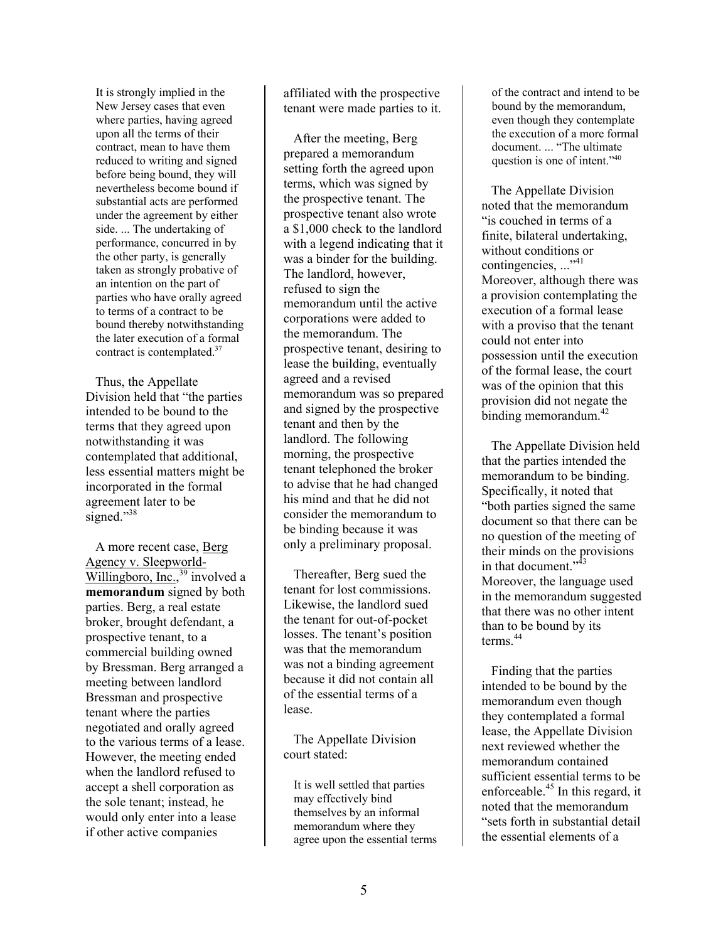It is strongly implied in the New Jersey cases that even where parties, having agreed upon all the terms of their contract, mean to have them reduced to writing and signed before being bound, they will nevertheless become bound if substantial acts are performed under the agreement by either side. ... The undertaking of performance, concurred in by the other party, is generally taken as strongly probative of an intention on the part of parties who have orally agreed to terms of a contract to be bound thereby notwithstanding the later execution of a formal contract is contemplated.37

 Thus, the Appellate Division held that "the parties intended to be bound to the terms that they agreed upon notwithstanding it was contemplated that additional, less essential matters might be incorporated in the formal agreement later to be signed."<sup>38</sup>

 A more recent case, Berg Agency v. Sleepworld-Willingboro, Inc.,<sup>39</sup> involved a **memorandum** signed by both parties. Berg, a real estate broker, brought defendant, a prospective tenant, to a commercial building owned by Bressman. Berg arranged a meeting between landlord Bressman and prospective tenant where the parties negotiated and orally agreed to the various terms of a lease. However, the meeting ended when the landlord refused to accept a shell corporation as the sole tenant; instead, he would only enter into a lease if other active companies

affiliated with the prospective tenant were made parties to it.

 After the meeting, Berg prepared a memorandum setting forth the agreed upon terms, which was signed by the prospective tenant. The prospective tenant also wrote a \$1,000 check to the landlord with a legend indicating that it was a binder for the building. The landlord, however, refused to sign the memorandum until the active corporations were added to the memorandum. The prospective tenant, desiring to lease the building, eventually agreed and a revised memorandum was so prepared and signed by the prospective tenant and then by the landlord. The following morning, the prospective tenant telephoned the broker to advise that he had changed his mind and that he did not consider the memorandum to be binding because it was only a preliminary proposal.

 Thereafter, Berg sued the tenant for lost commissions. Likewise, the landlord sued the tenant for out-of-pocket losses. The tenant's position was that the memorandum was not a binding agreement because it did not contain all of the essential terms of a lease.

 The Appellate Division court stated:

It is well settled that parties may effectively bind themselves by an informal memorandum where they agree upon the essential terms of the contract and intend to be bound by the memorandum, even though they contemplate the execution of a more formal document. ... "The ultimate question is one of intent."40

 The Appellate Division noted that the memorandum "is couched in terms of a finite, bilateral undertaking, without conditions or contingencies, ..."<sup>41</sup> Moreover, although there was a provision contemplating the execution of a formal lease with a proviso that the tenant could not enter into possession until the execution of the formal lease, the court was of the opinion that this provision did not negate the binding memorandum. $42$ 

 The Appellate Division held that the parties intended the memorandum to be binding. Specifically, it noted that "both parties signed the same document so that there can be no question of the meeting of their minds on the provisions in that document."<sup>43</sup> Moreover, the language used in the memorandum suggested that there was no other intent than to be bound by its terms<sup>44</sup>

 Finding that the parties intended to be bound by the memorandum even though they contemplated a formal lease, the Appellate Division next reviewed whether the memorandum contained sufficient essential terms to be enforceable.45 In this regard, it noted that the memorandum "sets forth in substantial detail the essential elements of a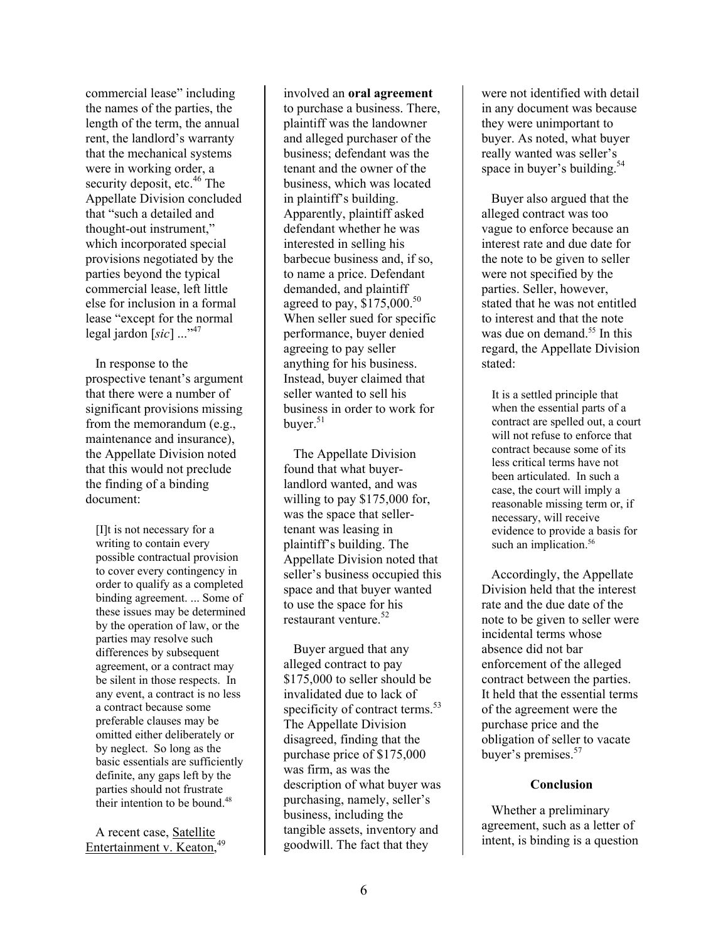commercial lease" including the names of the parties, the length of the term, the annual rent, the landlord's warranty that the mechanical systems were in working order, a security deposit, etc.<sup>46</sup> The Appellate Division concluded that "such a detailed and thought-out instrument," which incorporated special provisions negotiated by the parties beyond the typical commercial lease, left little else for inclusion in a formal lease "except for the normal legal jardon [sic] ..."<sup>47</sup>

 In response to the prospective tenant's argument that there were a number of significant provisions missing from the memorandum (e.g., maintenance and insurance), the Appellate Division noted that this would not preclude the finding of a binding document:

[I]t is not necessary for a writing to contain every possible contractual provision to cover every contingency in order to qualify as a completed binding agreement. ... Some of these issues may be determined by the operation of law, or the parties may resolve such differences by subsequent agreement, or a contract may be silent in those respects. In any event, a contract is no less a contract because some preferable clauses may be omitted either deliberately or by neglect. So long as the basic essentials are sufficiently definite, any gaps left by the parties should not frustrate their intention to be bound.<sup>48</sup>

 A recent case, Satellite Entertainment v. Keaton,<sup>49</sup>

involved an **oral agreement** to purchase a business. There, plaintiff was the landowner and alleged purchaser of the business; defendant was the tenant and the owner of the business, which was located in plaintiff's building. Apparently, plaintiff asked defendant whether he was interested in selling his barbecue business and, if so, to name a price. Defendant demanded, and plaintiff agreed to pay, \$175,000.<sup>50</sup> When seller sued for specific performance, buyer denied agreeing to pay seller anything for his business. Instead, buyer claimed that seller wanted to sell his business in order to work for buyer. $51$ 

 The Appellate Division found that what buyerlandlord wanted, and was willing to pay \$175,000 for, was the space that sellertenant was leasing in plaintiff's building. The Appellate Division noted that seller's business occupied this space and that buyer wanted to use the space for his restaurant venture.<sup>52</sup>

 Buyer argued that any alleged contract to pay \$175,000 to seller should be invalidated due to lack of specificity of contract terms.<sup>53</sup> The Appellate Division disagreed, finding that the purchase price of \$175,000 was firm, as was the description of what buyer was purchasing, namely, seller's business, including the tangible assets, inventory and goodwill. The fact that they

were not identified with detail in any document was because they were unimportant to buyer. As noted, what buyer really wanted was seller's space in buyer's building.<sup>54</sup>

 Buyer also argued that the alleged contract was too vague to enforce because an interest rate and due date for the note to be given to seller were not specified by the parties. Seller, however, stated that he was not entitled to interest and that the note was due on demand.<sup>55</sup> In this regard, the Appellate Division stated:

It is a settled principle that when the essential parts of a contract are spelled out, a court will not refuse to enforce that contract because some of its less critical terms have not been articulated. In such a case, the court will imply a reasonable missing term or, if necessary, will receive evidence to provide a basis for such an implication.<sup>56</sup>

 Accordingly, the Appellate Division held that the interest rate and the due date of the note to be given to seller were incidental terms whose absence did not bar enforcement of the alleged contract between the parties. It held that the essential terms of the agreement were the purchase price and the obligation of seller to vacate buyer's premises.<sup>57</sup>

#### **Conclusion**

 Whether a preliminary agreement, such as a letter of intent, is binding is a question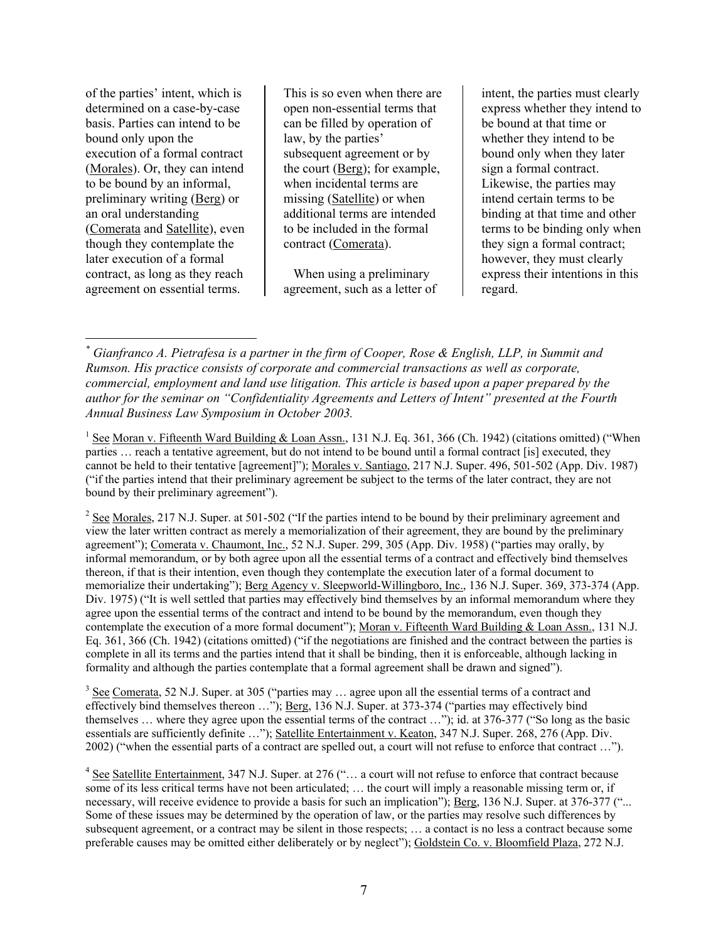of the parties' intent, which is determined on a case-by-case basis. Parties can intend to be bound only upon the execution of a formal contract (Morales). Or, they can intend to be bound by an informal, preliminary writing (Berg) or an oral understanding (Comerata and Satellite), even though they contemplate the later execution of a formal contract, as long as they reach agreement on essential terms.

 $\overline{a}$ 

This is so even when there are open non-essential terms that can be filled by operation of law, by the parties' subsequent agreement or by the court (Berg); for example, when incidental terms are missing (Satellite) or when additional terms are intended to be included in the formal contract (Comerata).

 When using a preliminary agreement, such as a letter of

intent, the parties must clearly express whether they intend to be bound at that time or whether they intend to be bound only when they later sign a formal contract. Likewise, the parties may intend certain terms to be binding at that time and other terms to be binding only when they sign a formal contract; however, they must clearly express their intentions in this regard.

 $3 \text{ See}$  Comerata, 52 N.J. Super. at 305 ("parties may ... agree upon all the essential terms of a contract and effectively bind themselves thereon …"); Berg, 136 N.J. Super. at 373-374 ("parties may effectively bind themselves … where they agree upon the essential terms of the contract …"); id. at 376-377 ("So long as the basic essentials are sufficiently definite ..."); Satellite Entertainment v. Keaton, 347 N.J. Super. 268, 276 (App. Div. 2002) ("when the essential parts of a contract are spelled out, a court will not refuse to enforce that contract …").

*<sup>\*</sup> Gianfranco A. Pietrafesa is a partner in the firm of Cooper, Rose & English, LLP, in Summit and Rumson. His practice consists of corporate and commercial transactions as well as corporate, commercial, employment and land use litigation. This article is based upon a paper prepared by the author for the seminar on "Confidentiality Agreements and Letters of Intent" presented at the Fourth Annual Business Law Symposium in October 2003.* 

<sup>&</sup>lt;sup>1</sup> See Moran v. Fifteenth Ward Building & Loan Assn., 131 N.J. Eq. 361, 366 (Ch. 1942) (citations omitted) ("When parties … reach a tentative agreement, but do not intend to be bound until a formal contract [is] executed, they cannot be held to their tentative [agreement]"); Morales v. Santiago, 217 N.J. Super. 496, 501-502 (App. Div. 1987) ("if the parties intend that their preliminary agreement be subject to the terms of the later contract, they are not bound by their preliminary agreement").

 $2^{2}$  See Morales, 217 N.J. Super. at 501-502 ("If the parties intend to be bound by their preliminary agreement and view the later written contract as merely a memorialization of their agreement, they are bound by the preliminary agreement"); Comerata v. Chaumont, Inc., 52 N.J. Super. 299, 305 (App. Div. 1958) ("parties may orally, by informal memorandum, or by both agree upon all the essential terms of a contract and effectively bind themselves thereon, if that is their intention, even though they contemplate the execution later of a formal document to memorialize their undertaking"); Berg Agency v. Sleepworld-Willingboro, Inc., 136 N.J. Super. 369, 373-374 (App. Div. 1975) ("It is well settled that parties may effectively bind themselves by an informal memorandum where they agree upon the essential terms of the contract and intend to be bound by the memorandum, even though they contemplate the execution of a more formal document"); Moran v. Fifteenth Ward Building & Loan Assn., 131 N.J. Eq. 361, 366 (Ch. 1942) (citations omitted) ("if the negotiations are finished and the contract between the parties is complete in all its terms and the parties intend that it shall be binding, then it is enforceable, although lacking in formality and although the parties contemplate that a formal agreement shall be drawn and signed").

 $4 \text{ See } \text{Satellite Entertainment}, 347 \text{ N.J. Super. at } 276$  ("... a court will not refuse to enforce that contract because some of its less critical terms have not been articulated; … the court will imply a reasonable missing term or, if necessary, will receive evidence to provide a basis for such an implication"); Berg, 136 N.J. Super. at 376-377 ("... Some of these issues may be determined by the operation of law, or the parties may resolve such differences by subsequent agreement, or a contract may be silent in those respects; … a contact is no less a contract because some preferable causes may be omitted either deliberately or by neglect"); Goldstein Co. v. Bloomfield Plaza, 272 N.J.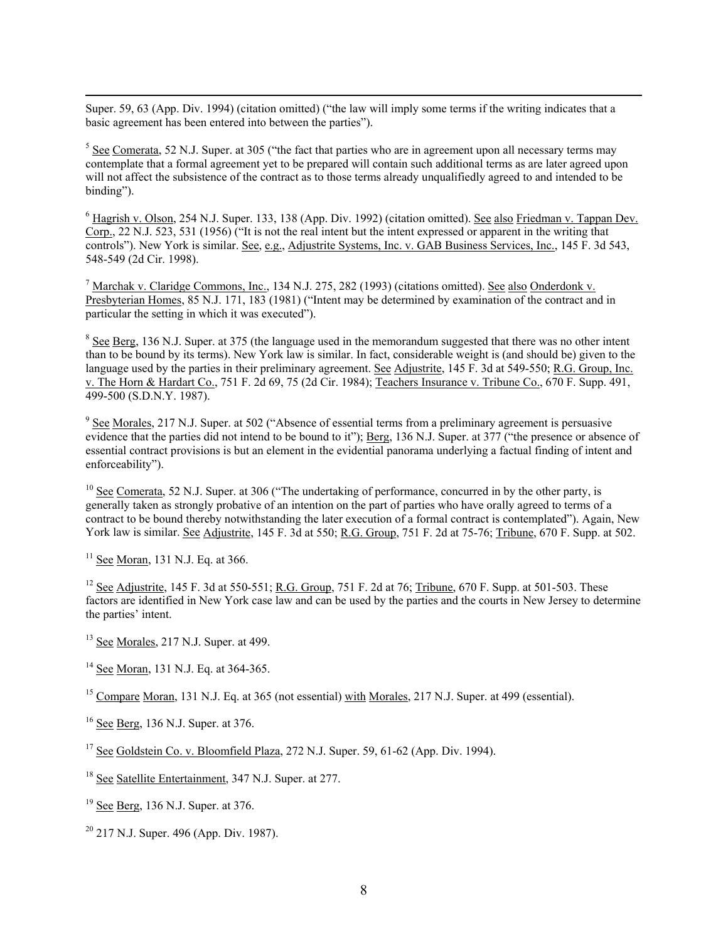Super. 59, 63 (App. Div. 1994) (citation omitted) ("the law will imply some terms if the writing indicates that a basic agreement has been entered into between the parties").

 $<sup>5</sup>$  See Comerata, 52 N.J. Super. at 305 ("the fact that parties who are in agreement upon all necessary terms may</sup> contemplate that a formal agreement yet to be prepared will contain such additional terms as are later agreed upon will not affect the subsistence of the contract as to those terms already unqualifiedly agreed to and intended to be binding").

 $6$  Hagrish v. Olson, 254 N.J. Super. 133, 138 (App. Div. 1992) (citation omitted). <u>See also Friedman v. Tappan Dev.</u> Corp., 22 N.J. 523, 531 (1956) ("It is not the real intent but the intent expressed or apparent in the writing that controls"). New York is similar. See, e.g., Adjustrite Systems, Inc. v. GAB Business Services, Inc., 145 F. 3d 543, 548-549 (2d Cir. 1998).

<sup>7</sup> Marchak v. Claridge Commons, Inc., 134 N.J. 275, 282 (1993) (citations omitted). <u>See also Onderdonk v.</u> Presbyterian Homes, 85 N.J. 171, 183 (1981) ("Intent may be determined by examination of the contract and in particular the setting in which it was executed").

 $8$  See Berg, 136 N.J. Super. at 375 (the language used in the memorandum suggested that there was no other intent than to be bound by its terms). New York law is similar. In fact, considerable weight is (and should be) given to the language used by the parties in their preliminary agreement. See Adjustrite, 145 F. 3d at 549-550; R.G. Group, Inc. v. The Horn & Hardart Co., 751 F. 2d 69, 75 (2d Cir. 1984); Teachers Insurance v. Tribune Co., 670 F. Supp. 491, 499-500 (S.D.N.Y. 1987).

 $9 \text{ See } \text{Morales}, 217 \text{ N.J. Super. at } 502 \text{ ("Absence of essential terms from a preliminary agreement is pervasive).}$ evidence that the parties did not intend to be bound to it"); Berg, 136 N.J. Super. at 377 ("the presence or absence of essential contract provisions is but an element in the evidential panorama underlying a factual finding of intent and enforceability").

<sup>10</sup> See Comerata, 52 N.J. Super. at 306 ("The undertaking of performance, concurred in by the other party, is generally taken as strongly probative of an intention on the part of parties who have orally agreed to terms of a contract to be bound thereby notwithstanding the later execution of a formal contract is contemplated"). Again, New York law is similar. See Adjustrite, 145 F. 3d at 550; R.G. Group, 751 F. 2d at 75-76; Tribune, 670 F. Supp. at 502.

 $11$  See Moran, 131 N.J. Eq. at 366.

<sup>12</sup> See Adjustrite, 145 F. 3d at 550-551; R.G. Group, 751 F. 2d at 76; Tribune, 670 F. Supp. at 501-503. These factors are identified in New York case law and can be used by the parties and the courts in New Jersey to determine the parties' intent.

 $13$  See Morales, 217 N.J. Super. at 499.

<sup>14</sup> See Moran, 131 N.J. Eq. at 364-365.

<sup>15</sup> Compare Moran, 131 N.J. Eq. at 365 (not essential) with Morales, 217 N.J. Super. at 499 (essential).

<sup>16</sup> See Berg, 136 N.J. Super. at 376.

 $17$  See Goldstein Co. v. Bloomfield Plaza, 272 N.J. Super. 59, 61-62 (App. Div. 1994).

18 See Satellite Entertainment, 347 N.J. Super. at 277.

 $19$  See Berg, 136 N.J. Super. at 376.

 $20$  217 N.J. Super. 496 (App. Div. 1987).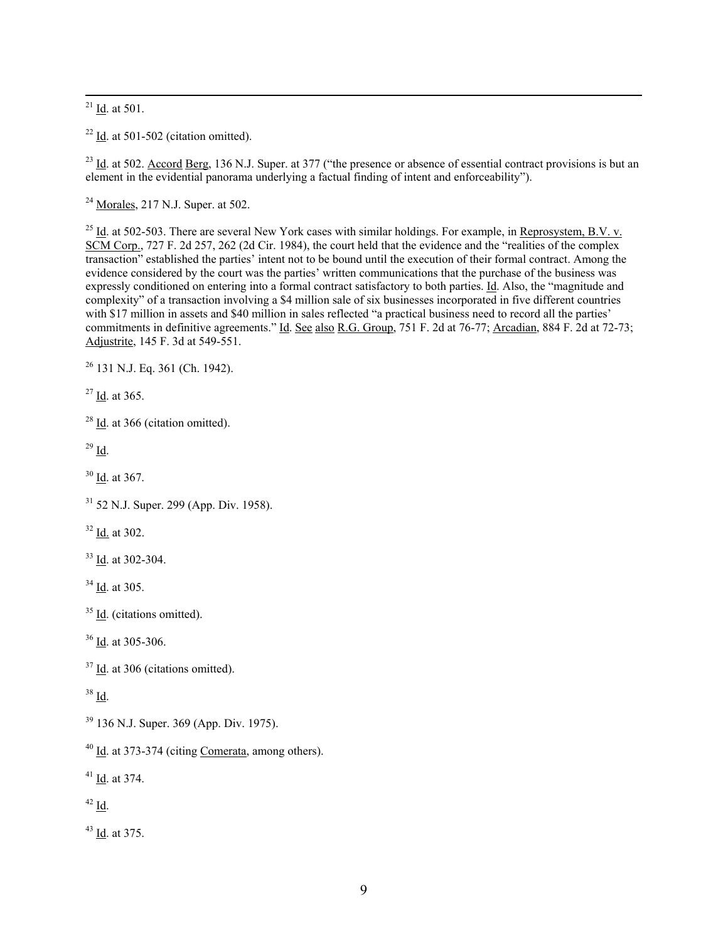$^{21}$  <u>Id</u>. at 501.

 $22$  Id. at 501-502 (citation omitted).

 $^{23}$  Id. at 502. Accord Berg, 136 N.J. Super. at 377 ("the presence or absence of essential contract provisions is but an element in the evidential panorama underlying a factual finding of intent and enforceability").

 $^{24}$  Morales, 217 N.J. Super. at 502.

 $^{25}$  Id. at 502-503. There are several New York cases with similar holdings. For example, in Reprosystem, B.V. v. SCM Corp., 727 F. 2d 257, 262 (2d Cir. 1984), the court held that the evidence and the "realities of the complex transaction" established the parties' intent not to be bound until the execution of their formal contract. Among the evidence considered by the court was the parties' written communications that the purchase of the business was expressly conditioned on entering into a formal contract satisfactory to both parties. Id. Also, the "magnitude and complexity" of a transaction involving a \$4 million sale of six businesses incorporated in five different countries with \$17 million in assets and \$40 million in sales reflected "a practical business need to record all the parties' commitments in definitive agreements." Id. See also R.G. Group, 751 F. 2d at 76-77; Arcadian, 884 F. 2d at 72-73; Adjustrite, 145 F. 3d at 549-551.

 $26$  131 N.J. Eq. 361 (Ch. 1942).

27 Id. at 365.

 $28$  Id. at 366 (citation omitted).

 $29$  Id.

30 Id. at 367.

32 Id. at 302.

33 Id. at 302-304.

34 Id. at 305.

 $35$  Id. (citations omitted).

<sup>36</sup> Id. at 305-306.

<sup>37</sup> Id. at 306 (citations omitted).

38 Id.

39 136 N.J. Super. 369 (App. Div. 1975).

 $40$  Id. at 373-374 (citing Comerata, among others).

41 Id. at 374.

 $42 \underline{Id}$ .

43 Id. at 375.

<sup>31 52</sup> N.J. Super. 299 (App. Div. 1958).